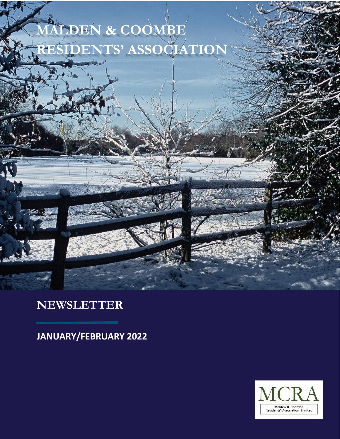



# **NEWSLETTER**

**JANUARY/FEBRUARY 2022**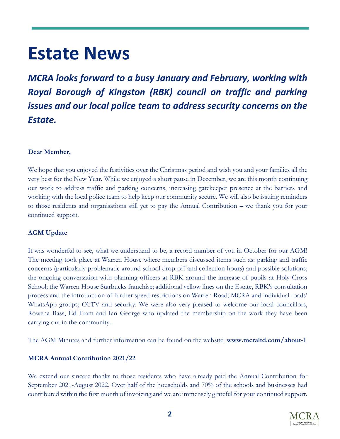# **Estate News**

*MCRA looks forward to a busy January and February, working with Royal Borough of Kingston (RBK) council on traffic and parking issues and our local police team to address security concerns on the Estate.*

### **Dear Member,**

We hope that you enjoyed the festivities over the Christmas period and wish you and your families all the very best for the New Year. While we enjoyed a short pause in December, we are this month continuing our work to address traffic and parking concerns, increasing gatekeeper presence at the barriers and working with the local police team to help keep our community secure. We will also be issuing reminders to those residents and organisations still yet to pay the Annual Contribution – we thank you for your continued support.

# **AGM Update**

It was wonderful to see, what we understand to be, a record number of you in October for our AGM! The meeting took place at Warren House where members discussed items such as: parking and traffic concerns (particularly problematic around school drop-off and collection hours) and possible solutions; the ongoing conversation with planning officers at RBK around the increase of pupils at Holy Cross School; the Warren House Starbucks franchise; additional yellow lines on the Estate, RBK's consultation process and the introduction of further speed restrictions on Warren Road; MCRA and individual roads' WhatsApp groups; CCTV and security. We were also very pleased to welcome our local councillors, Rowena Bass, Ed Fram and Ian George who updated the membership on the work they have been carrying out in the community.

The AGM Minutes and further information can be found on the website: **<www.mcraltd.com/about-1>**

# **MCRA Annual Contribution 2021/22**

We extend our sincere thanks to those residents who have already paid the Annual Contribution for September 2021-August 2022. Over half of the households and 70% of the schools and businesses had contributed within the first month of invoicing and we are immensely grateful for your continued support.

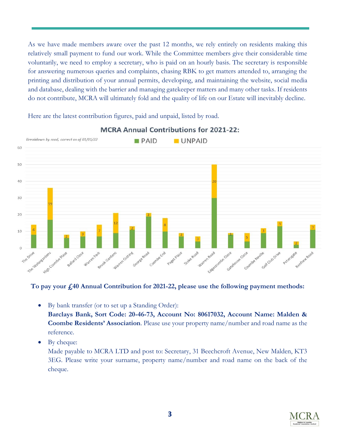As we have made members aware over the past 12 months, we rely entirely on residents making this relatively small payment to fund our work. While the Committee members give their considerable time voluntarily, we need to employ a secretary, who is paid on an hourly basis. The secretary is responsible for answering numerous queries and complaints, chasing RBK to get matters attended to, arranging the printing and distribution of your annual permits, developing, and maintaining the website, social media and database, dealing with the barrier and managing gatekeeper matters and many other tasks. If residents do not contribute, MCRA will ultimately fold and the quality of life on our Estate will inevitably decline.

Here are the latest contribution figures, paid and unpaid, listed by road.



#### **MCRA Annual Contributions for 2021-22:**

#### **To pay your £40 Annual Contribution for 2021-22, please use the following payment methods:**

- By bank transfer (or to set up a Standing Order): **Barclays Bank, Sort Code: 20-46-73, Account No: 80617032, Account Name: Malden & Coombe Residents' Association**. Please use your property name/number and road name as the reference.
- By cheque:

Made payable to MCRA LTD and post to: Secretary, 31 Beechcroft Avenue, New Malden, KT3 3EG. Please write your surname, property name/number and road name on the back of the cheque.

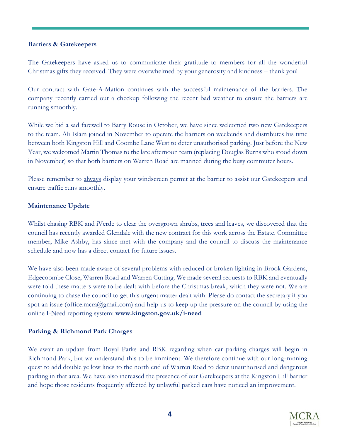#### **Barriers & Gatekeepers**

The Gatekeepers have asked us to communicate their gratitude to members for all the wonderful Christmas gifts they received. They were overwhelmed by your generosity and kindness – thank you!

Our contract with Gate-A-Mation continues with the successful maintenance of the barriers. The company recently carried out a checkup following the recent bad weather to ensure the barriers are running smoothly.

While we bid a sad farewell to Barry Rouse in October, we have since welcomed two new Gatekeepers to the team. Ali Islam joined in November to operate the barriers on weekends and distributes his time between both Kingston Hill and Coombe Lane West to deter unauthorised parking. Just before the New Year, we welcomed Martin Thomas to the late afternoon team (replacing Douglas Burns who stood down in November) so that both barriers on Warren Road are manned during the busy commuter hours.

Please remember to always display your windscreen permit at the barrier to assist our Gatekeepers and ensure traffic runs smoothly.

#### **Maintenance Update**

Whilst chasing RBK and iVerde to clear the overgrown shrubs, trees and leaves, we discovered that the council has recently awarded Glendale with the new contract for this work across the Estate. Committee member, Mike Ashby, has since met with the company and the council to discuss the maintenance schedule and now has a direct contact for future issues.

We have also been made aware of several problems with reduced or broken lighting in Brook Gardens, Edgecoombe Close, Warren Road and Warren Cutting. We made several requests to RBK and eventually were told these matters were to be dealt with before the Christmas break, which they were not. We are continuing to chase the council to get this urgent matter dealt with. Please do contact the secretary if you spot an issue [\(office.mcra@gmail.com\)](mailto:office.mcra@gmail.com) and help us to keep up the pressure on the council by using the online I-Need reporting system: **www.kingston.gov.uk/i-need**

#### **Parking & Richmond Park Charges**

We await an update from Royal Parks and RBK regarding when car parking charges will begin in Richmond Park, but we understand this to be imminent. We therefore continue with our long-running quest to add double yellow lines to the north end of Warren Road to deter unauthorised and dangerous parking in that area. We have also increased the presence of our Gatekeepers at the Kingston Hill barrier and hope those residents frequently affected by unlawful parked cars have noticed an improvement.